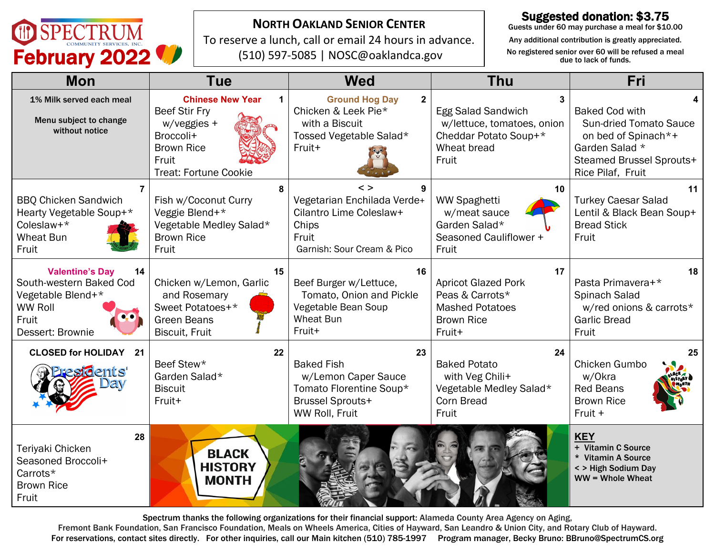

### **NORTH OAKLAND SENIOR CENTER**

To reserve a lunch, call or email 24 hours in advance. (510) 597-5085 | NOSC@oaklandca.gov

#### Suggested donation: \$3.75

Guests under 60 may purchase a meal for \$10.00

Any additional contribution is greatly appreciated.

| <b>Mon</b>                                                                                                                  | <b>Tue</b>                                                                                                                                | <b>Wed</b>                                                                                                                | <b>Thu</b>                                                                                                   | Fri                                                                                                                                              |
|-----------------------------------------------------------------------------------------------------------------------------|-------------------------------------------------------------------------------------------------------------------------------------------|---------------------------------------------------------------------------------------------------------------------------|--------------------------------------------------------------------------------------------------------------|--------------------------------------------------------------------------------------------------------------------------------------------------|
| 1% Milk served each meal<br>Menu subject to change<br>without notice                                                        | <b>Chinese New Year</b><br><b>Beef Stir Fry</b><br>w/veggies +<br>Broccoli+<br><b>Brown Rice</b><br>Fruit<br><b>Treat: Fortune Cookie</b> | <b>Ground Hog Day</b><br>$\mathbf{2}$<br>Chicken & Leek Pie*<br>with a Biscuit<br>Tossed Vegetable Salad*<br>Fruit+       | <b>Egg Salad Sandwich</b><br>w/lettuce, tomatoes, onion<br>Cheddar Potato Soup+*<br>Wheat bread<br>Fruit     | <b>Baked Cod with</b><br><b>Sun-dried Tomato Sauce</b><br>on bed of Spinach*+<br>Garden Salad *<br>Steamed Brussel Sprouts+<br>Rice Pilaf, Fruit |
| 7<br><b>BBQ Chicken Sandwich</b><br>Hearty Vegetable Soup+*<br>Coleslaw+*<br><b>Wheat Bun</b><br>Fruit                      | 8<br>Fish w/Coconut Curry<br>Veggie Blend+*<br>Vegetable Medley Salad*<br><b>Brown Rice</b><br>Fruit                                      | $\leq$ $>$<br>9<br>Vegetarian Enchilada Verde+<br>Cilantro Lime Coleslaw+<br>Chips<br>Fruit<br>Garnish: Sour Cream & Pico | 10<br><b>WW Spaghetti</b><br>w/meat sauce<br>Garden Salad*<br>Seasoned Cauliflower +<br>Fruit                | 11<br><b>Turkey Caesar Salad</b><br>Lentil & Black Bean Soup+<br><b>Bread Stick</b><br>Fruit                                                     |
| <b>Valentine's Day</b><br>14<br>South-western Baked Cod<br>Vegetable Blend+*<br><b>WW Roll</b><br>Fruit<br>Dessert: Brownie | 15<br>Chicken w/Lemon, Garlic<br>and Rosemary<br>Sweet Potatoes+*<br>Green Beans<br><b>Biscuit, Fruit</b>                                 | 16<br>Beef Burger w/Lettuce,<br>Tomato, Onion and Pickle<br>Vegetable Bean Soup<br><b>Wheat Bun</b><br>Fruit+             | 17<br><b>Apricot Glazed Pork</b><br>Peas & Carrots*<br><b>Mashed Potatoes</b><br><b>Brown Rice</b><br>Fruit+ | 18<br>Pasta Primavera+*<br>Spinach Salad<br>w/red onions & carrots*<br><b>Garlic Bread</b><br>Fruit                                              |
| <b>CLOSED for HOLIDAY 21</b><br>idents'                                                                                     | 22<br>Beef Stew*<br>Garden Salad*<br><b>Biscuit</b><br>Fruit+                                                                             | 23<br><b>Baked Fish</b><br>w/Lemon Caper Sauce<br>Tomato Florentine Soup*<br><b>Brussel Sprouts+</b><br>WW Roll, Fruit    | 24<br><b>Baked Potato</b><br>with Veg Chili+<br>Vegetable Medley Salad*<br>Corn Bread<br>Fruit               | 25<br>Chicken Gumbo<br>w/Okra<br><b>Red Beans</b><br><b>Brown Rice</b><br>Fruit +                                                                |
| 28<br>Teriyaki Chicken<br>Seasoned Broccoli+<br>Carrots*<br><b>Brown Rice</b><br>Fruit                                      | <b>BLACK</b><br><b>HISTORY</b><br><b>MONTH</b>                                                                                            |                                                                                                                           |                                                                                                              | <b>KEY</b><br>+ Vitamin C Source<br>* Vitamin A Source<br>< > High Sodium Day<br>WW = Whole Wheat                                                |

Spectrum thanks the following organizations for their financial support: Alameda County Area Agency on Aging,

Fremont Bank Foundation, San Francisco Foundation, Meals on Wheels America, Cities of Hayward, San Leandro & Union City, and Rotary Club of Hayward. For reservations, contact sites directly. For other inquiries, call our Main kitchen (510) 785-1997 Program manager, Becky Bruno: BBruno@SpectrumCS.org